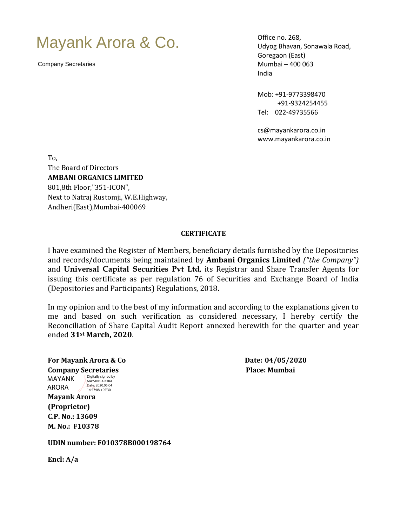## Mayank Arora & Co.

Company Secretaries

Office no. 268, Udyog Bhavan, Sonawala Road, Goregaon (East) Mumbai – 400 063 India

Mob: +91-9773398470 +91-9324254455 Tel: 022-49735566

cs@mayankarora.co.in www.mayankarora.co.in

To, The Board of Directors **AMBANI ORGANICS LIMITED** 801,8th Floor,"351-ICON", Next to Natraj Rustomji, W.E.Highway, Andheri(East),Mumbai-400069

## **CERTIFICATE**

I have examined the Register of Members, beneficiary details furnished by the Depositories and records/documents being maintained by **Ambani Organics Limited** *("the Company")*  and **Universal Capital Securities Pvt Ltd**, its Registrar and Share Transfer Agents for issuing this certificate as per regulation 76 of Securities and Exchange Board of India (Depositories and Participants) Regulations, 2018**.**

In my opinion and to the best of my information and according to the explanations given to me and based on such verification as considered necessary, I hereby certify the Reconciliation of Share Capital Audit Report annexed herewith for the quarter and year ended **31st March, 2020**.

**For Mayank Arora & Co Date: 04/05/2020 Company Secretaries Place: Mumbai**  MAYANK **Mayank Arora (Proprietor) C.P. No.: 13609 M. No.: F10378** ARORA Digitally signed by MAYANK ARORA Date: 2020.05.04 14:57:08 +05'30'

**UDIN number: F010378B000198764**

**Encl: A/a**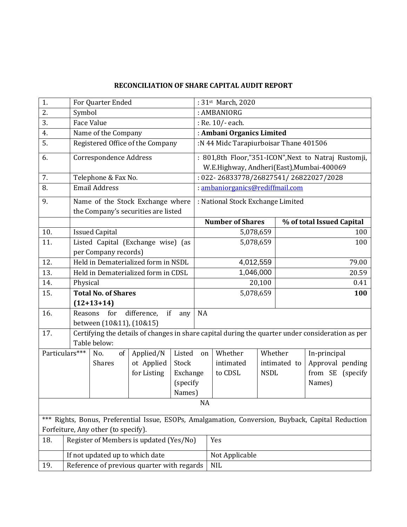## **RECONCILIATION OF SHARE CAPITAL AUDIT REPORT**

| 1.                                                                                                 |                                            | For Quarter Ended                          |                                           |              |                                                      | : 31st March, 2020                                                                               |              |     |                           |     |  |
|----------------------------------------------------------------------------------------------------|--------------------------------------------|--------------------------------------------|-------------------------------------------|--------------|------------------------------------------------------|--------------------------------------------------------------------------------------------------|--------------|-----|---------------------------|-----|--|
| 2.                                                                                                 |                                            | Symbol                                     |                                           |              |                                                      | : AMBANIORG                                                                                      |              |     |                           |     |  |
| 3.                                                                                                 |                                            | <b>Face Value</b>                          | : Re. 10/- each.                          |              |                                                      |                                                                                                  |              |     |                           |     |  |
| 4.                                                                                                 |                                            | Name of the Company                        |                                           |              |                                                      | : Ambani Organics Limited                                                                        |              |     |                           |     |  |
| 5.                                                                                                 |                                            | Registered Office of the Company           |                                           |              |                                                      | :N 44 Midc Tarapiurboisar Thane 401506                                                           |              |     |                           |     |  |
| 6.                                                                                                 | Correspondence Address                     |                                            |                                           |              | : 801,8th Floor,"351-ICON", Next to Natraj Rustomji, |                                                                                                  |              |     |                           |     |  |
|                                                                                                    |                                            |                                            |                                           |              |                                                      | W.E.Highway, Andheri(East), Mumbai-400069                                                        |              |     |                           |     |  |
| 7.                                                                                                 |                                            | Telephone & Fax No.                        | $: 022 - 26833778/26827541/26822027/2028$ |              |                                                      |                                                                                                  |              |     |                           |     |  |
| 8.                                                                                                 |                                            | <b>Email Address</b>                       | : ambaniorganics@rediffmail.com           |              |                                                      |                                                                                                  |              |     |                           |     |  |
| 9.                                                                                                 | Name of the Stock Exchange where           |                                            |                                           |              | : National Stock Exchange Limited                    |                                                                                                  |              |     |                           |     |  |
|                                                                                                    | the Company's securities are listed        |                                            |                                           |              |                                                      |                                                                                                  |              |     |                           |     |  |
|                                                                                                    |                                            |                                            |                                           |              | <b>Number of Shares</b>                              |                                                                                                  |              |     | % of total Issued Capital |     |  |
| 10.                                                                                                |                                            | <b>Issued Capital</b>                      |                                           |              |                                                      | 5,078,659                                                                                        | 100          |     |                           |     |  |
| 11.                                                                                                |                                            | Listed Capital (Exchange wise) (as         |                                           |              | 5,078,659                                            |                                                                                                  |              | 100 |                           |     |  |
|                                                                                                    |                                            | per Company records)                       |                                           |              |                                                      |                                                                                                  |              |     |                           |     |  |
| 12.                                                                                                |                                            | Held in Dematerialized form in NSDL        |                                           |              |                                                      | 4,012,559                                                                                        |              |     | 79.00                     |     |  |
| 13.                                                                                                |                                            | Held in Dematerialized form in CDSL        |                                           |              |                                                      | 1,046,000                                                                                        |              |     | 20.59                     |     |  |
| 14.                                                                                                |                                            | Physical                                   |                                           |              |                                                      | 20,100                                                                                           |              |     | 0.41                      |     |  |
| 15.                                                                                                | <b>Total No. of Shares</b>                 |                                            |                                           |              | 5,078,659                                            |                                                                                                  |              |     |                           | 100 |  |
|                                                                                                    |                                            | $(12+13+14)$                               |                                           |              |                                                      |                                                                                                  |              |     |                           |     |  |
| 16.                                                                                                |                                            | for<br>difference,<br>if<br>Reasons<br>any |                                           |              | <b>NA</b>                                            |                                                                                                  |              |     |                           |     |  |
|                                                                                                    | between (10&11), (10&15)                   |                                            |                                           |              |                                                      |                                                                                                  |              |     |                           |     |  |
| 17.                                                                                                |                                            |                                            |                                           |              |                                                      | Certifying the details of changes in share capital during the quarter under consideration as per |              |     |                           |     |  |
|                                                                                                    | Table below:                               |                                            |                                           |              |                                                      |                                                                                                  |              |     |                           |     |  |
|                                                                                                    | Particulars***                             | Applied/N<br>No.<br>of                     |                                           | Listed<br>on |                                                      | Whether                                                                                          | Whether      |     | In-principal              |     |  |
|                                                                                                    |                                            | <b>Shares</b>                              | ot Applied<br>Stock                       |              |                                                      | intimated                                                                                        | intimated to |     | Approval pending          |     |  |
|                                                                                                    |                                            |                                            | for Listing                               | Exchange     |                                                      | to CDSL                                                                                          | <b>NSDL</b>  |     | from SE (specify          |     |  |
|                                                                                                    |                                            |                                            |                                           | (specify     |                                                      |                                                                                                  |              |     | Names)                    |     |  |
|                                                                                                    |                                            |                                            |                                           | Names)       |                                                      |                                                                                                  |              |     |                           |     |  |
| <b>NA</b>                                                                                          |                                            |                                            |                                           |              |                                                      |                                                                                                  |              |     |                           |     |  |
| *** Rights, Bonus, Preferential Issue, ESOPs, Amalgamation, Conversion, Buyback, Capital Reduction |                                            |                                            |                                           |              |                                                      |                                                                                                  |              |     |                           |     |  |
| Forfeiture, Any other (to specify).                                                                |                                            |                                            |                                           |              |                                                      |                                                                                                  |              |     |                           |     |  |
| 18.                                                                                                |                                            |                                            | Register of Members is updated (Yes/No)   |              | Yes                                                  |                                                                                                  |              |     |                           |     |  |
|                                                                                                    | If not updated up to which date            |                                            |                                           |              |                                                      | Not Applicable                                                                                   |              |     |                           |     |  |
| 19.                                                                                                | Reference of previous quarter with regards |                                            |                                           |              |                                                      | <b>NIL</b>                                                                                       |              |     |                           |     |  |